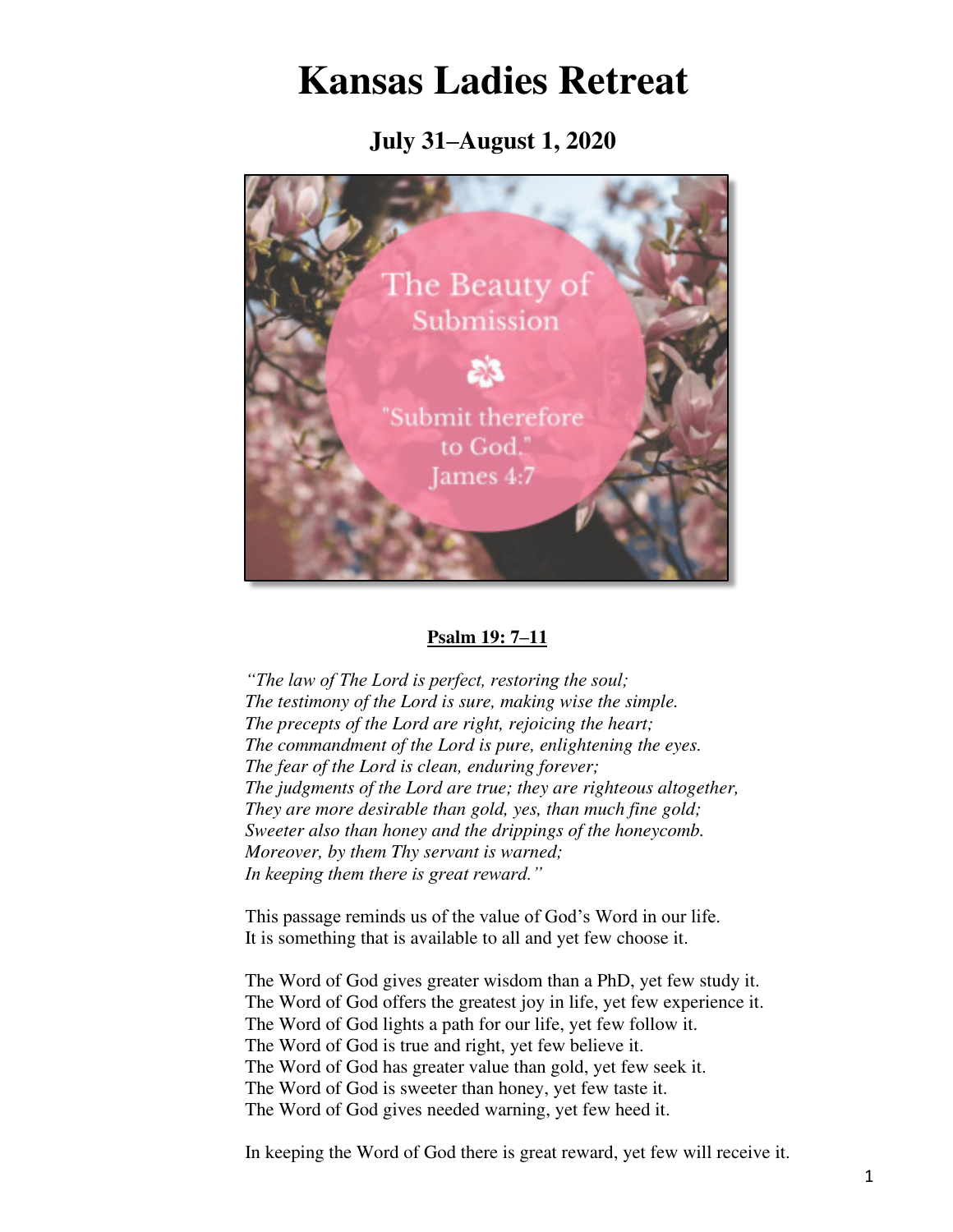# **Kansas Ladies Retreat**

**July 31–August 1, 2020**



#### **Psalm 19: 7–11**

*"The law of The Lord is perfect, restoring the soul; The testimony of the Lord is sure, making wise the simple. The precepts of the Lord are right, rejoicing the heart; The commandment of the Lord is pure, enlightening the eyes. The fear of the Lord is clean, enduring forever; The judgments of the Lord are true; they are righteous altogether, They are more desirable than gold, yes, than much fine gold; Sweeter also than honey and the drippings of the honeycomb. Moreover, by them Thy servant is warned; In keeping them there is great reward."*

This passage reminds us of the value of God's Word in our life. It is something that is available to all and yet few choose it.

The Word of God gives greater wisdom than a PhD, yet few study it. The Word of God offers the greatest joy in life, yet few experience it. The Word of God lights a path for our life, yet few follow it. The Word of God is true and right, yet few believe it. The Word of God has greater value than gold, yet few seek it. The Word of God is sweeter than honey, yet few taste it. The Word of God gives needed warning, yet few heed it.

In keeping the Word of God there is great reward, yet few will receive it.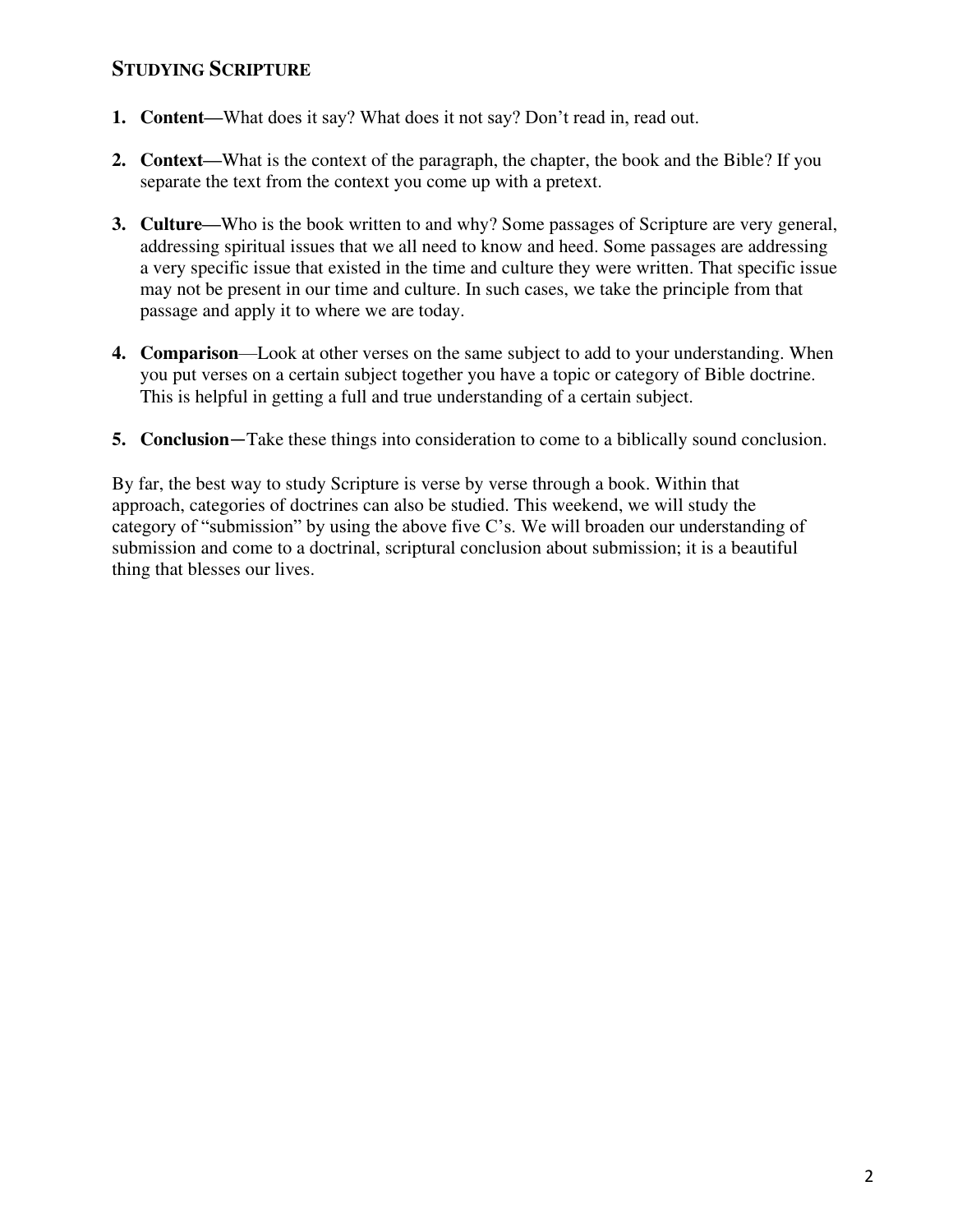## **STUDYING SCRIPTURE**

- **1. Content**—What does it say? What does it not say? Don't read in, read out.
- **2. Context—**What is the context of the paragraph, the chapter, the book and the Bible? If you separate the text from the context you come up with a pretext.
- **3. Culture—**Who is the book written to and why? Some passages of Scripture are very general, addressing spiritual issues that we all need to know and heed. Some passages are addressing a very specific issue that existed in the time and culture they were written. That specific issue may not be present in our time and culture. In such cases, we take the principle from that passage and apply it to where we are today.
- **4. Comparison**—Look at other verses on the same subject to add to your understanding. When you put verses on a certain subject together you have a topic or category of Bible doctrine. This is helpful in getting a full and true understanding of a certain subject.
- **5. Conclusion**—Take these things into consideration to come to a biblically sound conclusion.

By far, the best way to study Scripture is verse by verse through a book. Within that approach, categories of doctrines can also be studied. This weekend, we will study the category of "submission" by using the above five C's. We will broaden our understanding of submission and come to a doctrinal, scriptural conclusion about submission; it is a beautiful thing that blesses our lives.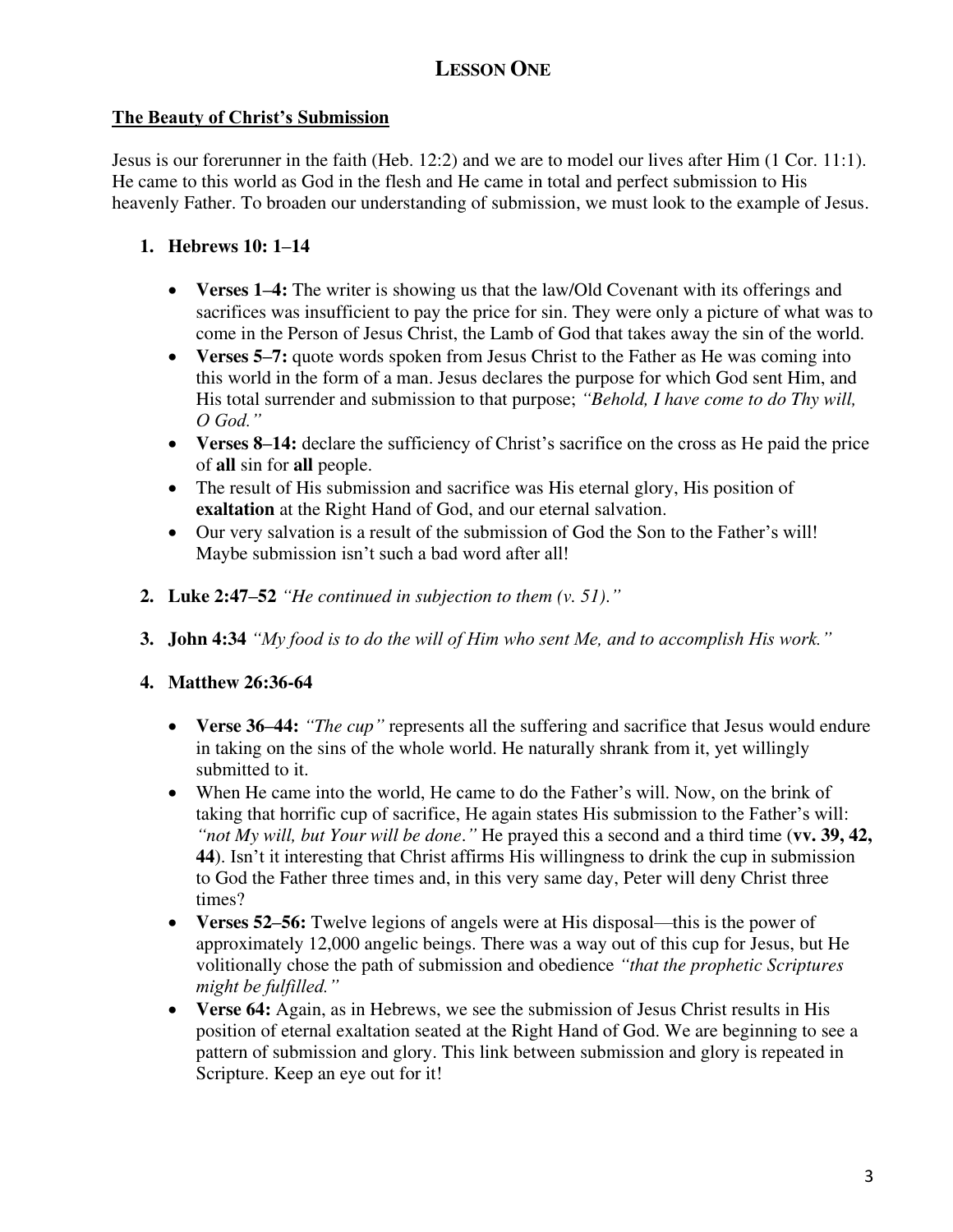# **LESSON ONE**

## **The Beauty of Christ's Submission**

Jesus is our forerunner in the faith (Heb. 12:2) and we are to model our lives after Him (1 Cor. 11:1). He came to this world as God in the flesh and He came in total and perfect submission to His heavenly Father. To broaden our understanding of submission, we must look to the example of Jesus.

## **1. Hebrews 10: 1–14**

- **Verses 1–4:** The writer is showing us that the law/Old Covenant with its offerings and sacrifices was insufficient to pay the price for sin. They were only a picture of what was to come in the Person of Jesus Christ, the Lamb of God that takes away the sin of the world.
- **Verses 5–7:** quote words spoken from Jesus Christ to the Father as He was coming into this world in the form of a man. Jesus declares the purpose for which God sent Him, and His total surrender and submission to that purpose; *"Behold, I have come to do Thy will, O God."*
- **Verses 8–14:** declare the sufficiency of Christ's sacrifice on the cross as He paid the price of **all** sin for **all** people.
- The result of His submission and sacrifice was His eternal glory, His position of **exaltation** at the Right Hand of God, and our eternal salvation.
- Our very salvation is a result of the submission of God the Son to the Father's will! Maybe submission isn't such a bad word after all!
- **2. Luke 2:47–52** *"He continued in subjection to them (v. 51)*.*"*
- **3. John 4:34** *"My food is to do the will of Him who sent Me, and to accomplish His work."*

## **4. Matthew 26:36-64**

- Verse 36–44: *"The cup*" represents all the suffering and sacrifice that Jesus would endure in taking on the sins of the whole world. He naturally shrank from it, yet willingly submitted to it.
- When He came into the world, He came to do the Father's will. Now, on the brink of taking that horrific cup of sacrifice, He again states His submission to the Father's will: *"not My will, but Your will be done*.*"* He prayed this a second and a third time (**vv. 39, 42, 44**). Isn't it interesting that Christ affirms His willingness to drink the cup in submission to God the Father three times and, in this very same day, Peter will deny Christ three times?
- **Verses 52–56:** Twelve legions of angels were at His disposal—this is the power of approximately 12,000 angelic beings. There was a way out of this cup for Jesus, but He volitionally chose the path of submission and obedience *"that the prophetic Scriptures might be fulfilled."*
- **Verse 64:** Again, as in Hebrews, we see the submission of Jesus Christ results in His position of eternal exaltation seated at the Right Hand of God. We are beginning to see a pattern of submission and glory. This link between submission and glory is repeated in Scripture. Keep an eye out for it!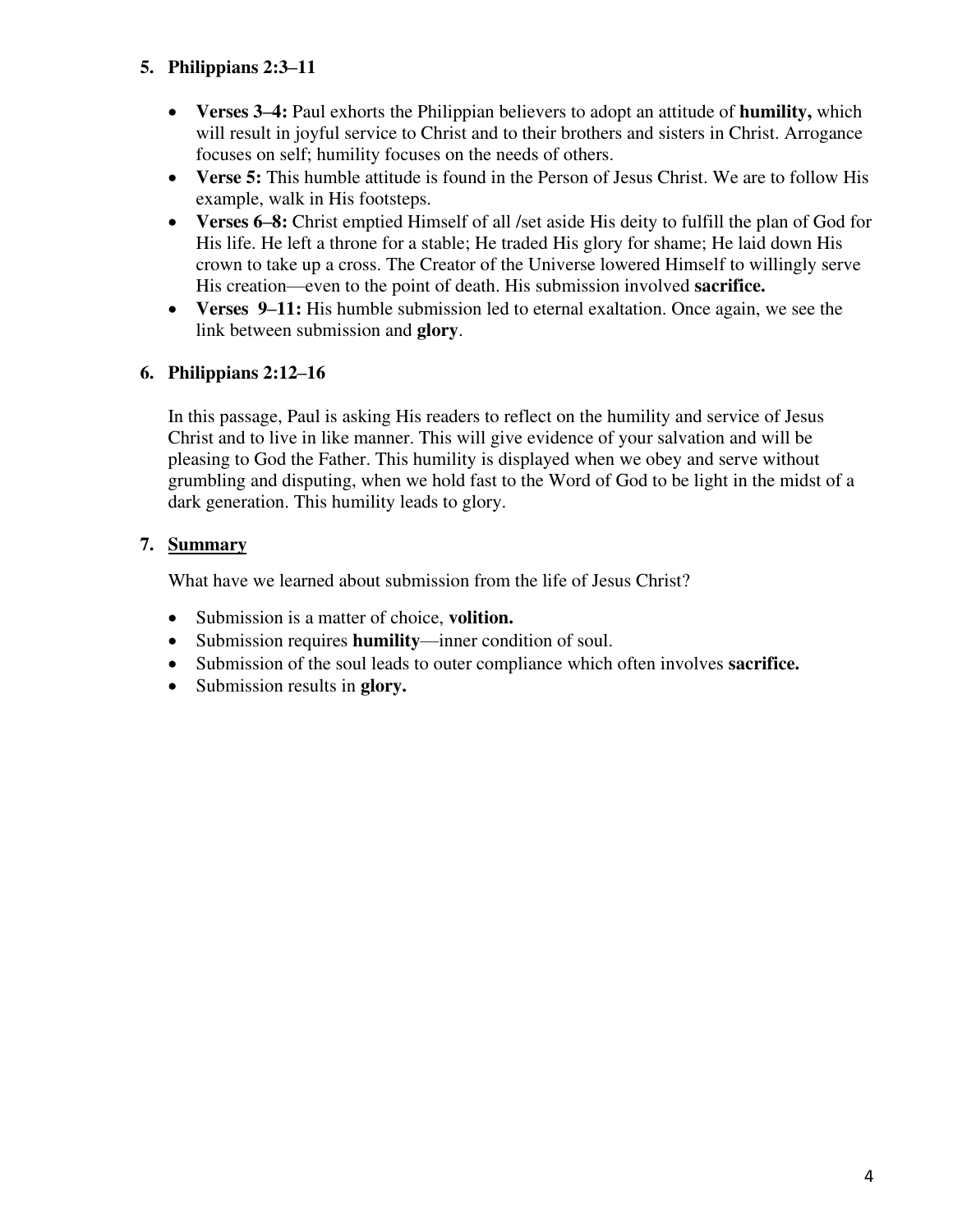## **5. Philippians 2:3–11**

- **Verses 3–4:** Paul exhorts the Philippian believers to adopt an attitude of **humility,** which will result in joyful service to Christ and to their brothers and sisters in Christ. Arrogance focuses on self; humility focuses on the needs of others.
- Verse 5: This humble attitude is found in the Person of Jesus Christ. We are to follow His example, walk in His footsteps.
- **Verses 6–8:** Christ emptied Himself of all /set aside His deity to fulfill the plan of God for His life. He left a throne for a stable; He traded His glory for shame; He laid down His crown to take up a cross. The Creator of the Universe lowered Himself to willingly serve His creation—even to the point of death. His submission involved **sacrifice.**
- **Verses 9–11:** His humble submission led to eternal exaltation. Once again, we see the link between submission and **glory**.

## **6. Philippians 2:12–16**

In this passage, Paul is asking His readers to reflect on the humility and service of Jesus Christ and to live in like manner. This will give evidence of your salvation and will be pleasing to God the Father. This humility is displayed when we obey and serve without grumbling and disputing, when we hold fast to the Word of God to be light in the midst of a dark generation. This humility leads to glory.

## **7. Summary**

What have we learned about submission from the life of Jesus Christ?

- Submission is a matter of choice, **volition.**
- Submission requires **humility**—inner condition of soul.
- Submission of the soul leads to outer compliance which often involves **sacrifice.**
- Submission results in **glory.**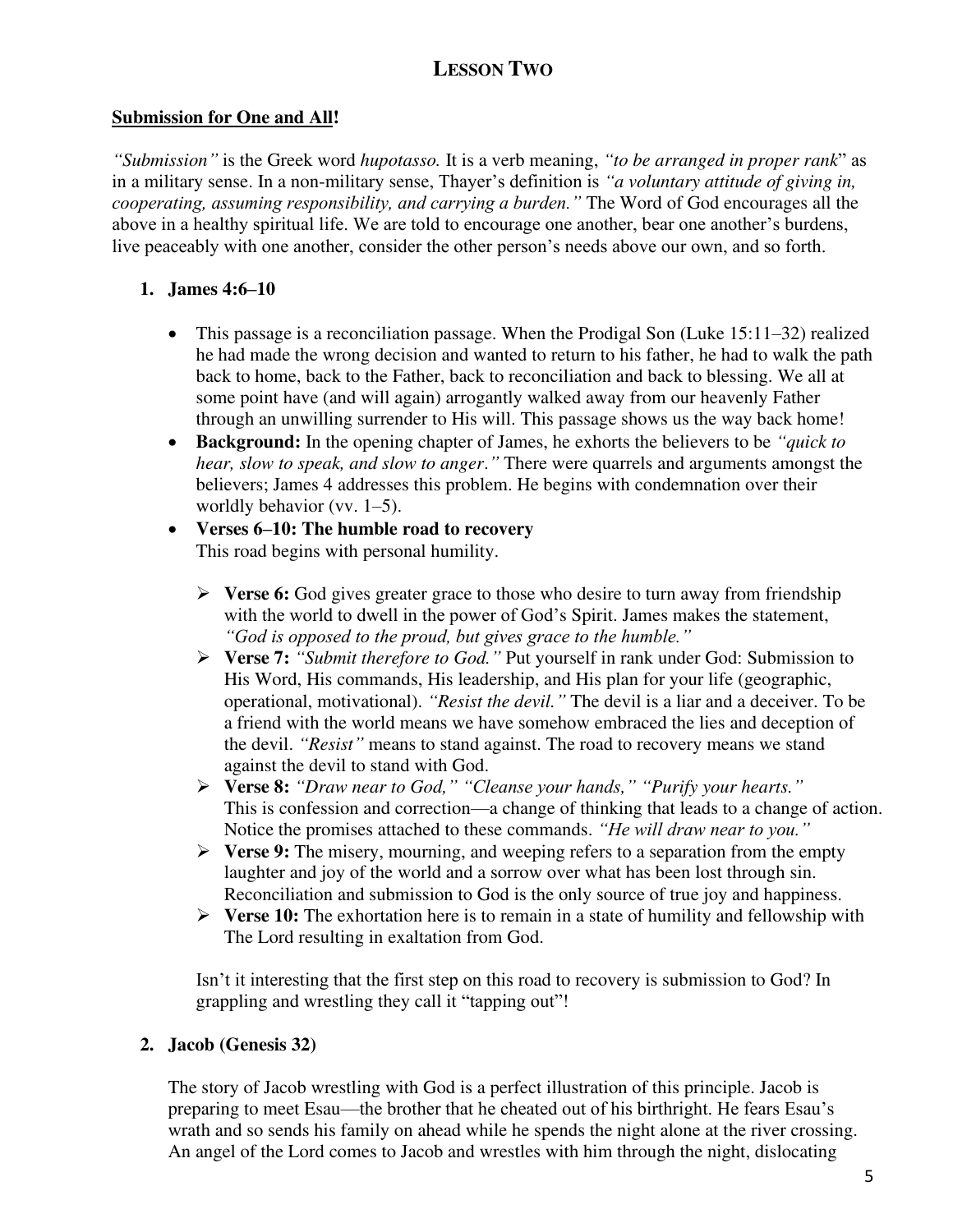# **LESSON TWO**

#### **Submission for One and All!**

*"Submission"* is the Greek word *hupotasso.* It is a verb meaning, *"to be arranged in proper rank*" as in a military sense. In a non-military sense, Thayer's definition is *"a voluntary attitude of giving in, cooperating, assuming responsibility, and carrying a burden."* The Word of God encourages all the above in a healthy spiritual life. We are told to encourage one another, bear one another's burdens, live peaceably with one another, consider the other person's needs above our own, and so forth.

#### **1. James 4:6–10**

- This passage is a reconciliation passage. When the Prodigal Son (Luke 15:11–32) realized he had made the wrong decision and wanted to return to his father, he had to walk the path back to home, back to the Father, back to reconciliation and back to blessing. We all at some point have (and will again) arrogantly walked away from our heavenly Father through an unwilling surrender to His will. This passage shows us the way back home!
- **Background:** In the opening chapter of James, he exhorts the believers to be *"quick to hear, slow to speak, and slow to anger*.*"* There were quarrels and arguments amongst the believers; James 4 addresses this problem. He begins with condemnation over their worldly behavior (vv. 1–5).

#### • **Verses 6–10: The humble road to recovery** This road begins with personal humility.

- ➢ **Verse 6:** God gives greater grace to those who desire to turn away from friendship with the world to dwell in the power of God's Spirit. James makes the statement, *"God is opposed to the proud, but gives grace to the humble."*
- ➢ **Verse 7:** *"Submit therefore to God."* Put yourself in rank under God: Submission to His Word, His commands, His leadership, and His plan for your life (geographic, operational, motivational). *"Resist the devil."* The devil is a liar and a deceiver. To be a friend with the world means we have somehow embraced the lies and deception of the devil. *"Resist"* means to stand against. The road to recovery means we stand against the devil to stand with God.
- ➢ **Verse 8:** *"Draw near to God," "Cleanse your hands," "Purify your hearts."* This is confession and correction—a change of thinking that leads to a change of action. Notice the promises attached to these commands. *"He will draw near to you."*
- ➢ **Verse 9:** The misery, mourning, and weeping refers to a separation from the empty laughter and joy of the world and a sorrow over what has been lost through sin. Reconciliation and submission to God is the only source of true joy and happiness.
- ➢ **Verse 10:** The exhortation here is to remain in a state of humility and fellowship with The Lord resulting in exaltation from God.

Isn't it interesting that the first step on this road to recovery is submission to God? In grappling and wrestling they call it "tapping out"!

#### **2. Jacob (Genesis 32)**

The story of Jacob wrestling with God is a perfect illustration of this principle. Jacob is preparing to meet Esau—the brother that he cheated out of his birthright. He fears Esau's wrath and so sends his family on ahead while he spends the night alone at the river crossing. An angel of the Lord comes to Jacob and wrestles with him through the night, dislocating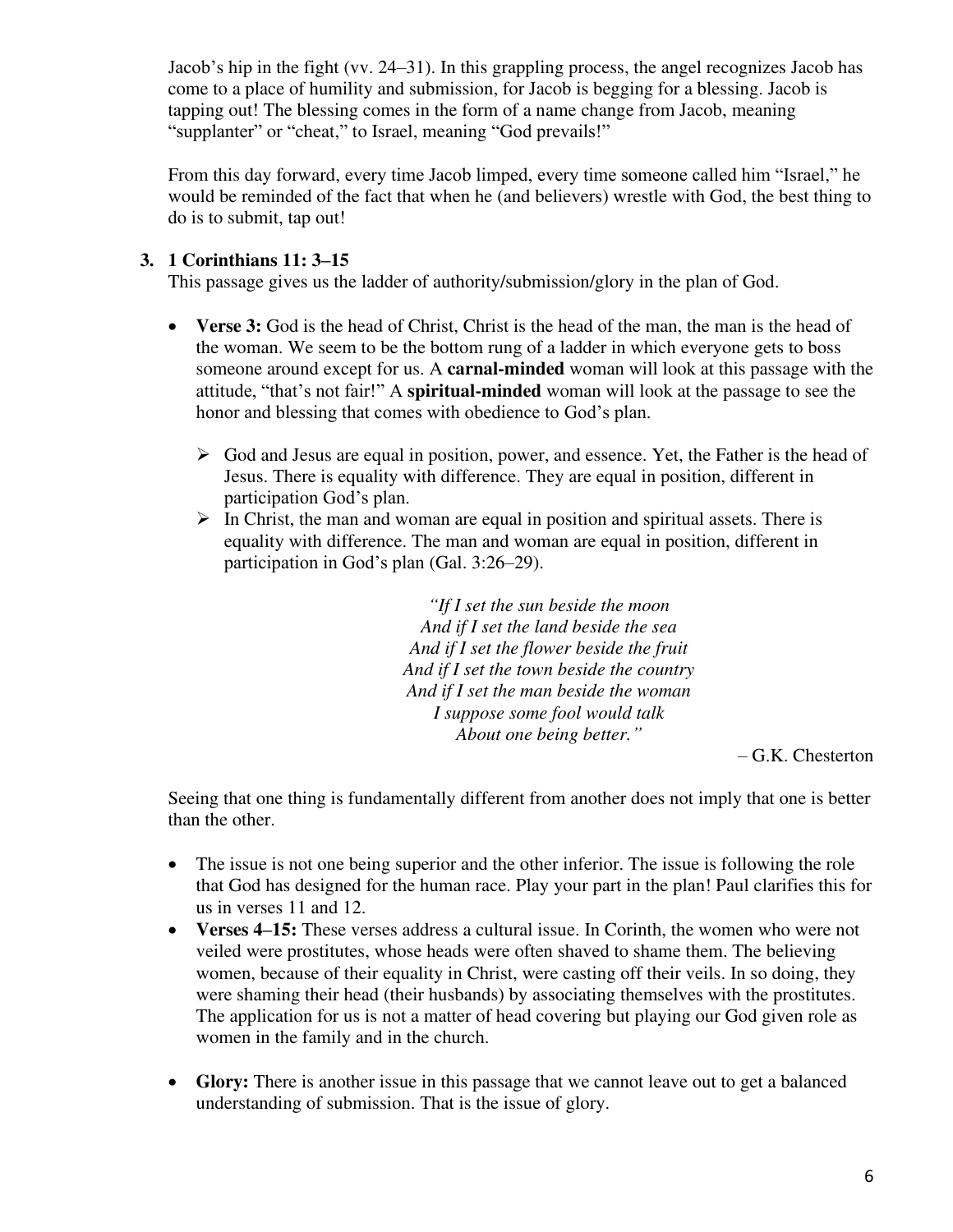Jacob's hip in the fight (vv. 24–31). In this grappling process, the angel recognizes Jacob has come to a place of humility and submission, for Jacob is begging for a blessing. Jacob is tapping out! The blessing comes in the form of a name change from Jacob, meaning "supplanter" or "cheat," to Israel, meaning "God prevails!"

From this day forward, every time Jacob limped, every time someone called him "Israel," he would be reminded of the fact that when he (and believers) wrestle with God, the best thing to do is to submit, tap out!

## **3. 1 Corinthians 11: 3–15**

This passage gives us the ladder of authority/submission/glory in the plan of God.

- **Verse 3:** God is the head of Christ, Christ is the head of the man, the man is the head of the woman. We seem to be the bottom rung of a ladder in which everyone gets to boss someone around except for us. A **carnal-minded** woman will look at this passage with the attitude, "that's not fair!" A **spiritual-minded** woman will look at the passage to see the honor and blessing that comes with obedience to God's plan.
	- $\triangleright$  God and Jesus are equal in position, power, and essence. Yet, the Father is the head of Jesus. There is equality with difference. They are equal in position, different in participation God's plan.
	- ➢ In Christ, the man and woman are equal in position and spiritual assets. There is equality with difference. The man and woman are equal in position, different in participation in God's plan (Gal. 3:26–29).

*"If I set the sun beside the moon And if I set the land beside the sea And if I set the flower beside the fruit And if I set the town beside the country And if I set the man beside the woman I suppose some fool would talk About one being better."*

– G.K. Chesterton

Seeing that one thing is fundamentally different from another does not imply that one is better than the other.

- The issue is not one being superior and the other inferior. The issue is following the role that God has designed for the human race. Play your part in the plan! Paul clarifies this for us in verses 11 and 12.
- **Verses 4–15:** These verses address a cultural issue. In Corinth, the women who were not veiled were prostitutes, whose heads were often shaved to shame them. The believing women, because of their equality in Christ, were casting off their veils. In so doing, they were shaming their head (their husbands) by associating themselves with the prostitutes. The application for us is not a matter of head covering but playing our God given role as women in the family and in the church.
- Glory: There is another issue in this passage that we cannot leave out to get a balanced understanding of submission. That is the issue of glory.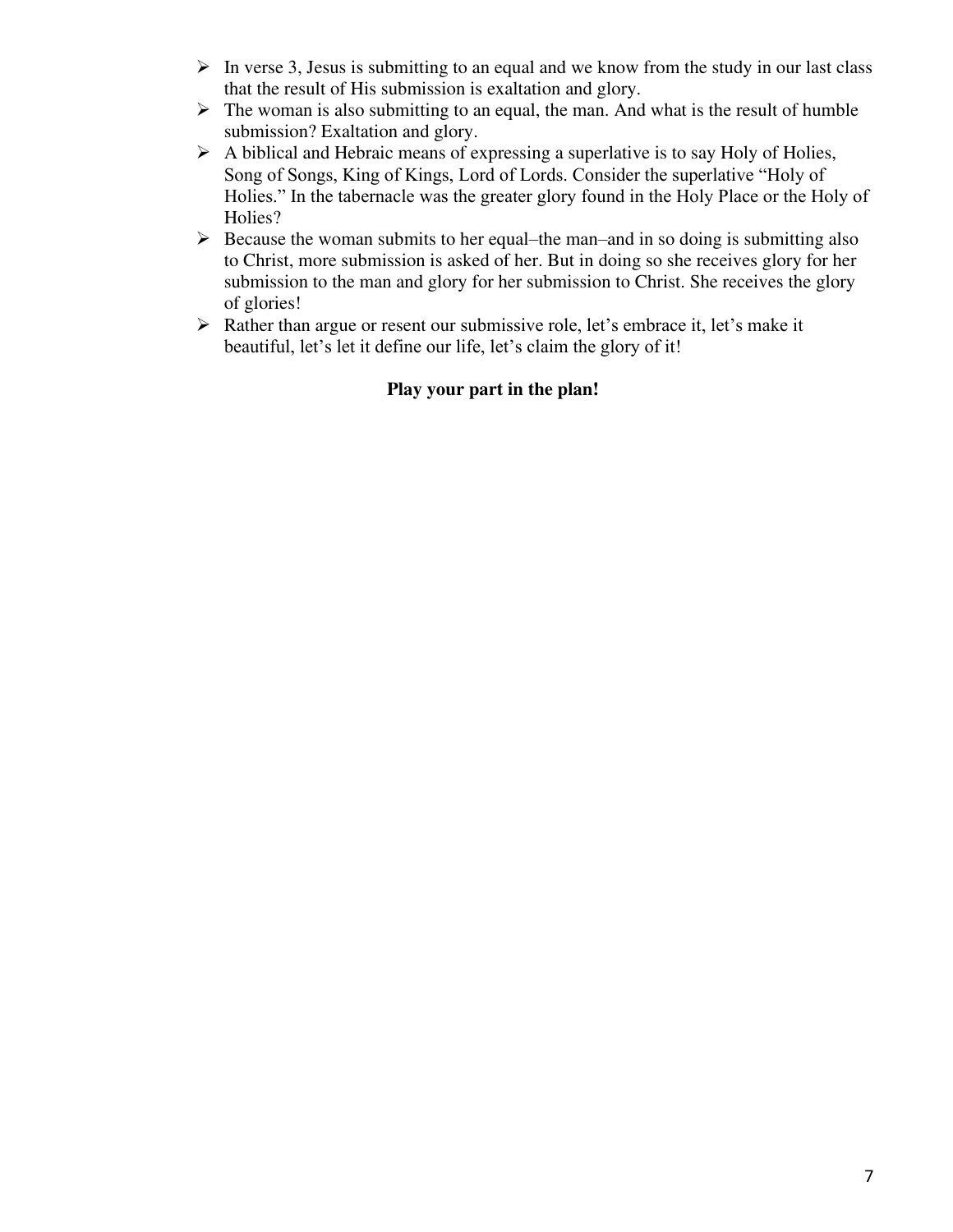- $\triangleright$  In verse 3, Jesus is submitting to an equal and we know from the study in our last class that the result of His submission is exaltation and glory.
- $\triangleright$  The woman is also submitting to an equal, the man. And what is the result of humble submission? Exaltation and glory.
- ➢ A biblical and Hebraic means of expressing a superlative is to say Holy of Holies, Song of Songs, King of Kings, Lord of Lords. Consider the superlative "Holy of Holies." In the tabernacle was the greater glory found in the Holy Place or the Holy of Holies?
- $\triangleright$  Because the woman submits to her equal–the man–and in so doing is submitting also to Christ, more submission is asked of her. But in doing so she receives glory for her submission to the man and glory for her submission to Christ. She receives the glory of glories!
- ➢ Rather than argue or resent our submissive role, let's embrace it, let's make it beautiful, let's let it define our life, let's claim the glory of it!

## **Play your part in the plan!**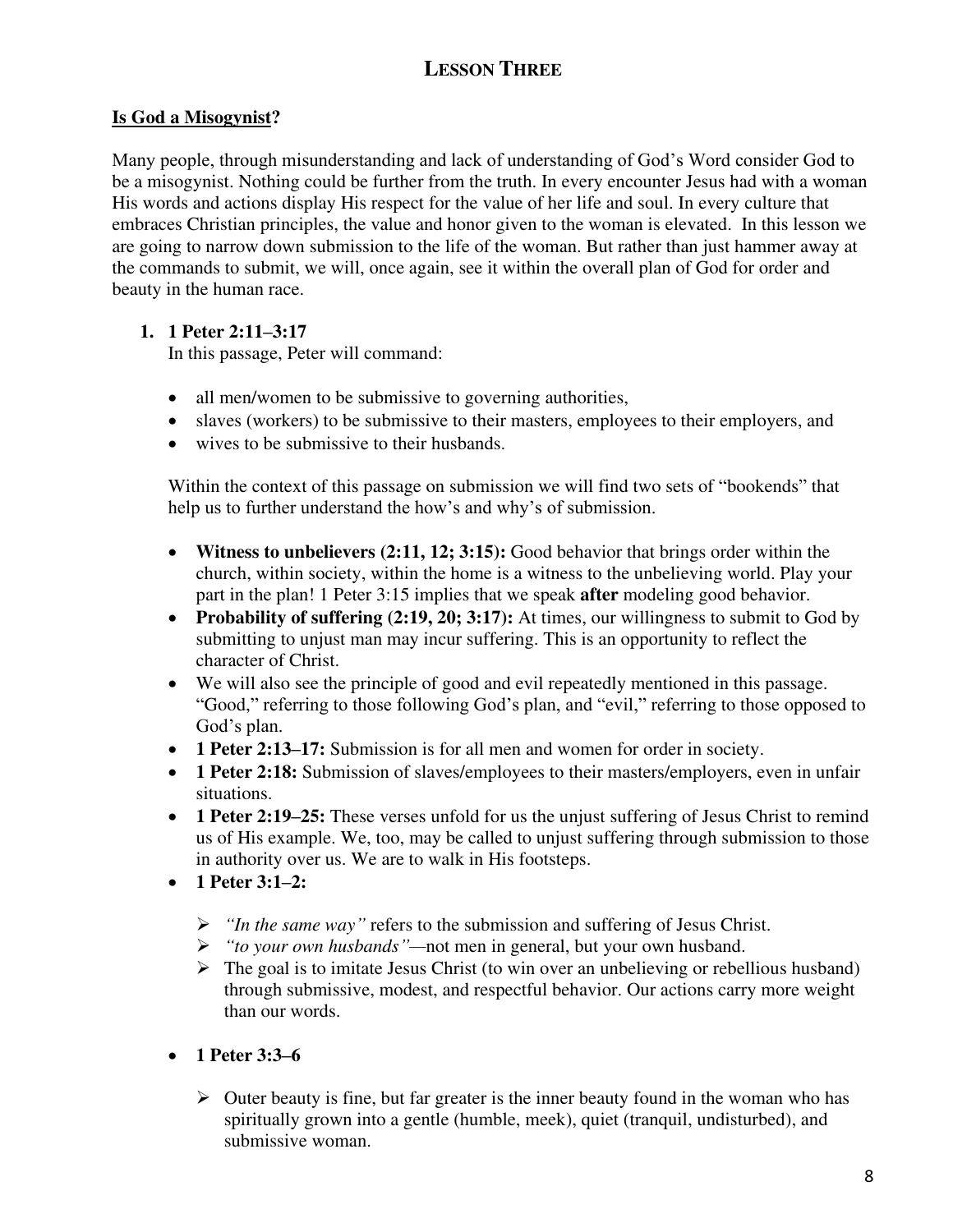# **LESSON THREE**

## **Is God a Misogynist?**

Many people, through misunderstanding and lack of understanding of God's Word consider God to be a misogynist. Nothing could be further from the truth. In every encounter Jesus had with a woman His words and actions display His respect for the value of her life and soul. In every culture that embraces Christian principles, the value and honor given to the woman is elevated. In this lesson we are going to narrow down submission to the life of the woman. But rather than just hammer away at the commands to submit, we will, once again, see it within the overall plan of God for order and beauty in the human race.

## **1. 1 Peter 2:11–3:17**

In this passage, Peter will command:

- all men/women to be submissive to governing authorities,
- slaves (workers) to be submissive to their masters, employees to their employers, and
- wives to be submissive to their husbands.

Within the context of this passage on submission we will find two sets of "bookends" that help us to further understand the how's and why's of submission.

- **Witness to unbelievers (2:11, 12; 3:15):** Good behavior that brings order within the church, within society, within the home is a witness to the unbelieving world. Play your part in the plan! 1 Peter 3:15 implies that we speak **after** modeling good behavior.
- **Probability of suffering (2:19, 20; 3:17):** At times, our willingness to submit to God by submitting to unjust man may incur suffering. This is an opportunity to reflect the character of Christ.
- We will also see the principle of good and evil repeatedly mentioned in this passage. "Good," referring to those following God's plan, and "evil," referring to those opposed to God's plan.
- **1 Peter 2:13–17:** Submission is for all men and women for order in society.
- **1 Peter 2:18:** Submission of slaves/employees to their masters/employers, even in unfair situations.
- **1 Peter 2:19–25:** These verses unfold for us the unjust suffering of Jesus Christ to remind us of His example. We, too, may be called to unjust suffering through submission to those in authority over us. We are to walk in His footsteps.
- **1 Peter 3:1–2:** 
	- ➢ *"In the same way"* refers to the submission and suffering of Jesus Christ.
	- ➢ *"to your own husbands"—*not men in general, but your own husband.
	- $\triangleright$  The goal is to imitate Jesus Christ (to win over an unbelieving or rebellious husband) through submissive, modest, and respectful behavior. Our actions carry more weight than our words.
- **1 Peter 3:3–6**
	- $\triangleright$  Outer beauty is fine, but far greater is the inner beauty found in the woman who has spiritually grown into a gentle (humble, meek), quiet (tranquil, undisturbed), and submissive woman.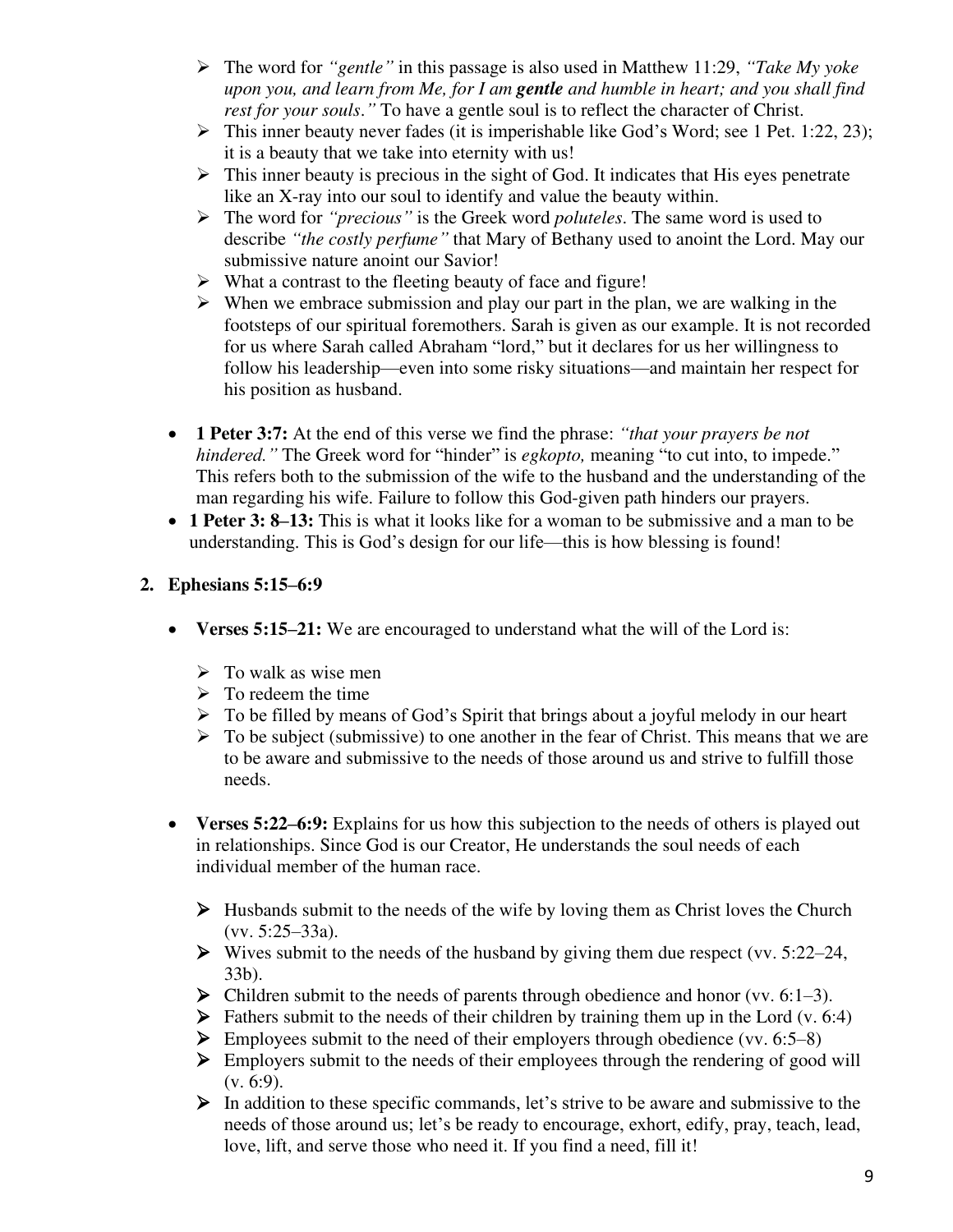- ➢ The word for *"gentle"* in this passage is also used in Matthew 11:29, *"Take My yoke upon you, and learn from Me, for I am gentle and humble in heart; and you shall find rest for your souls*.*"* To have a gentle soul is to reflect the character of Christ.
- ➢ This inner beauty never fades (it is imperishable like God's Word; see 1 Pet. 1:22, 23); it is a beauty that we take into eternity with us!
- $\triangleright$  This inner beauty is precious in the sight of God. It indicates that His eyes penetrate like an X-ray into our soul to identify and value the beauty within.
- ➢ The word for *"precious"* is the Greek word *poluteles*. The same word is used to describe *"the costly perfume"* that Mary of Bethany used to anoint the Lord. May our submissive nature anoint our Savior!
- ➢ What a contrast to the fleeting beauty of face and figure!
- $\triangleright$  When we embrace submission and play our part in the plan, we are walking in the footsteps of our spiritual foremothers. Sarah is given as our example. It is not recorded for us where Sarah called Abraham "lord," but it declares for us her willingness to follow his leadership—even into some risky situations—and maintain her respect for his position as husband.
- **1 Peter 3:7:** At the end of this verse we find the phrase: *"that your prayers be not hindered.*" The Greek word for "hinder" is *egkopto*, meaning "to cut into, to impede." This refers both to the submission of the wife to the husband and the understanding of the man regarding his wife. Failure to follow this God-given path hinders our prayers.
- **1 Peter 3: 8–13:** This is what it looks like for a woman to be submissive and a man to be understanding. This is God's design for our life—this is how blessing is found!

## **2. Ephesians 5:15–6:9**

- Verses 5:15–21: We are encouraged to understand what the will of the Lord is:
	- $\triangleright$  To walk as wise men
	- $\triangleright$  To redeem the time
	- $\triangleright$  To be filled by means of God's Spirit that brings about a joyful melody in our heart
	- $\triangleright$  To be subject (submissive) to one another in the fear of Christ. This means that we are to be aware and submissive to the needs of those around us and strive to fulfill those needs.
- **Verses 5:22–6:9:** Explains for us how this subjection to the needs of others is played out in relationships. Since God is our Creator, He understands the soul needs of each individual member of the human race.
	- $\triangleright$  Husbands submit to the needs of the wife by loving them as Christ loves the Church (vv. 5:25–33a).
	- $\triangleright$  Wives submit to the needs of the husband by giving them due respect (vv. 5:22–24, 33b).
	- $\triangleright$  Children submit to the needs of parents through obedience and honor (vv. 6:1–3).
	- $\triangleright$  Fathers submit to the needs of their children by training them up in the Lord (v. 6:4)
	- $\triangleright$  Employees submit to the need of their employers through obedience (vv. 6:5–8)
	- ➢ Employers submit to the needs of their employees through the rendering of good will  $(v. 6:9)$ .
	- ➢ In addition to these specific commands, let's strive to be aware and submissive to the needs of those around us; let's be ready to encourage, exhort, edify, pray, teach, lead, love, lift, and serve those who need it. If you find a need, fill it!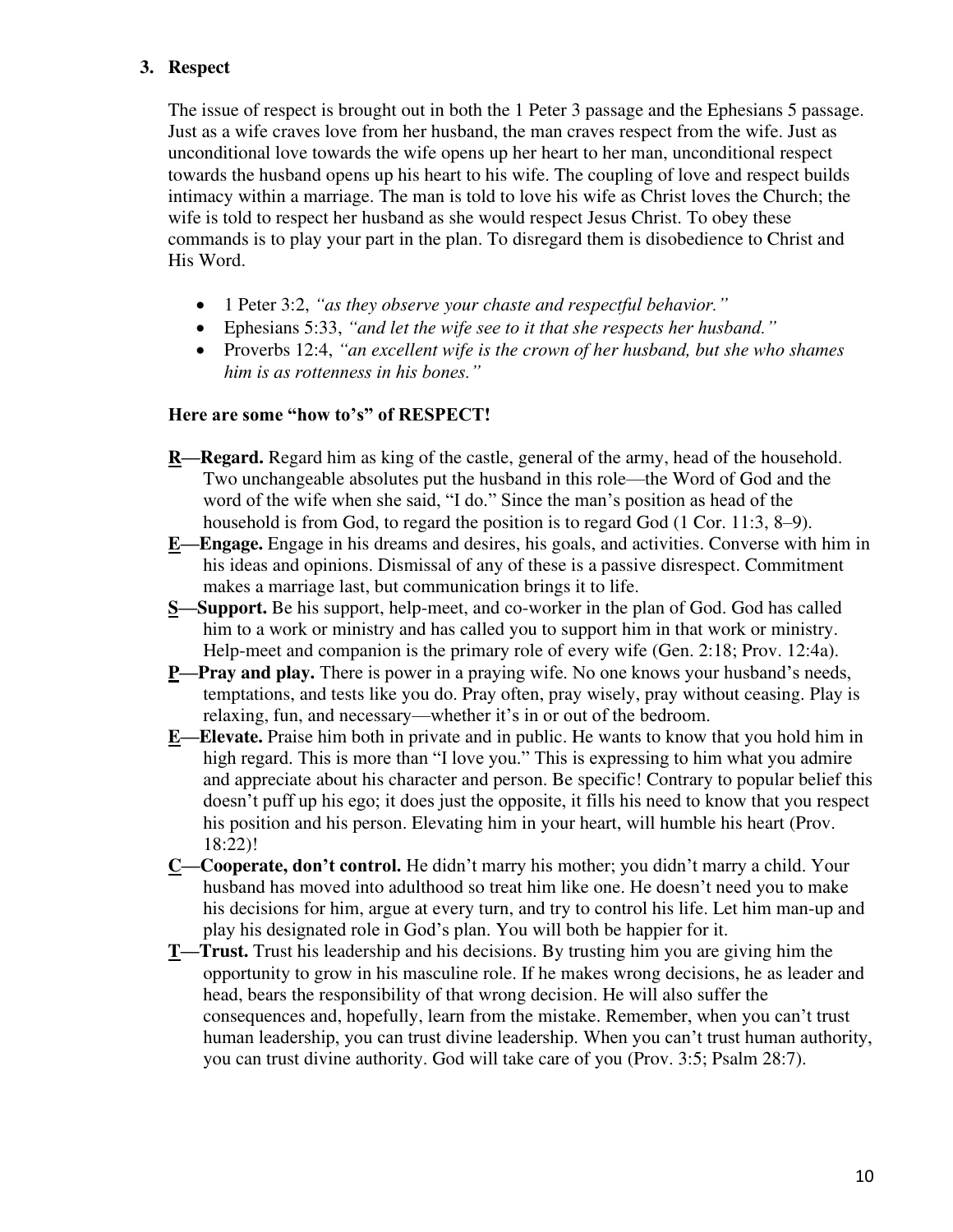#### **3. Respect**

The issue of respect is brought out in both the 1 Peter 3 passage and the Ephesians 5 passage. Just as a wife craves love from her husband, the man craves respect from the wife. Just as unconditional love towards the wife opens up her heart to her man, unconditional respect towards the husband opens up his heart to his wife. The coupling of love and respect builds intimacy within a marriage. The man is told to love his wife as Christ loves the Church; the wife is told to respect her husband as she would respect Jesus Christ. To obey these commands is to play your part in the plan. To disregard them is disobedience to Christ and His Word.

- 1 Peter 3:2, *"as they observe your chaste and respectful behavior."*
- Ephesians 5:33, *"and let the wife see to it that she respects her husband."*
- Proverbs 12:4, *"an excellent wife is the crown of her husband, but she who shames him is as rottenness in his bones."*

#### **Here are some "how to's" of RESPECT!**

- **R—Regard.** Regard him as king of the castle, general of the army, head of the household. Two unchangeable absolutes put the husband in this role—the Word of God and the word of the wife when she said, "I do." Since the man's position as head of the household is from God, to regard the position is to regard God (1 Cor. 11:3, 8–9).
- **E—Engage.** Engage in his dreams and desires, his goals, and activities. Converse with him in his ideas and opinions. Dismissal of any of these is a passive disrespect. Commitment makes a marriage last, but communication brings it to life.
- **S—Support.** Be his support, help-meet, and co-worker in the plan of God. God has called him to a work or ministry and has called you to support him in that work or ministry. Help-meet and companion is the primary role of every wife (Gen. 2:18; Prov. 12:4a).
- **P—Pray and play.** There is power in a praying wife. No one knows your husband's needs, temptations, and tests like you do. Pray often, pray wisely, pray without ceasing. Play is relaxing, fun, and necessary—whether it's in or out of the bedroom.
- **E—Elevate.** Praise him both in private and in public. He wants to know that you hold him in high regard. This is more than "I love you." This is expressing to him what you admire and appreciate about his character and person. Be specific! Contrary to popular belief this doesn't puff up his ego; it does just the opposite, it fills his need to know that you respect his position and his person. Elevating him in your heart, will humble his heart (Prov. 18:22)!
- **C—Cooperate, don't control.** He didn't marry his mother; you didn't marry a child. Your husband has moved into adulthood so treat him like one. He doesn't need you to make his decisions for him, argue at every turn, and try to control his life. Let him man-up and play his designated role in God's plan. You will both be happier for it.
- **T—Trust.** Trust his leadership and his decisions. By trusting him you are giving him the opportunity to grow in his masculine role. If he makes wrong decisions, he as leader and head, bears the responsibility of that wrong decision. He will also suffer the consequences and, hopefully, learn from the mistake. Remember, when you can't trust human leadership, you can trust divine leadership. When you can't trust human authority, you can trust divine authority. God will take care of you (Prov. 3:5; Psalm 28:7).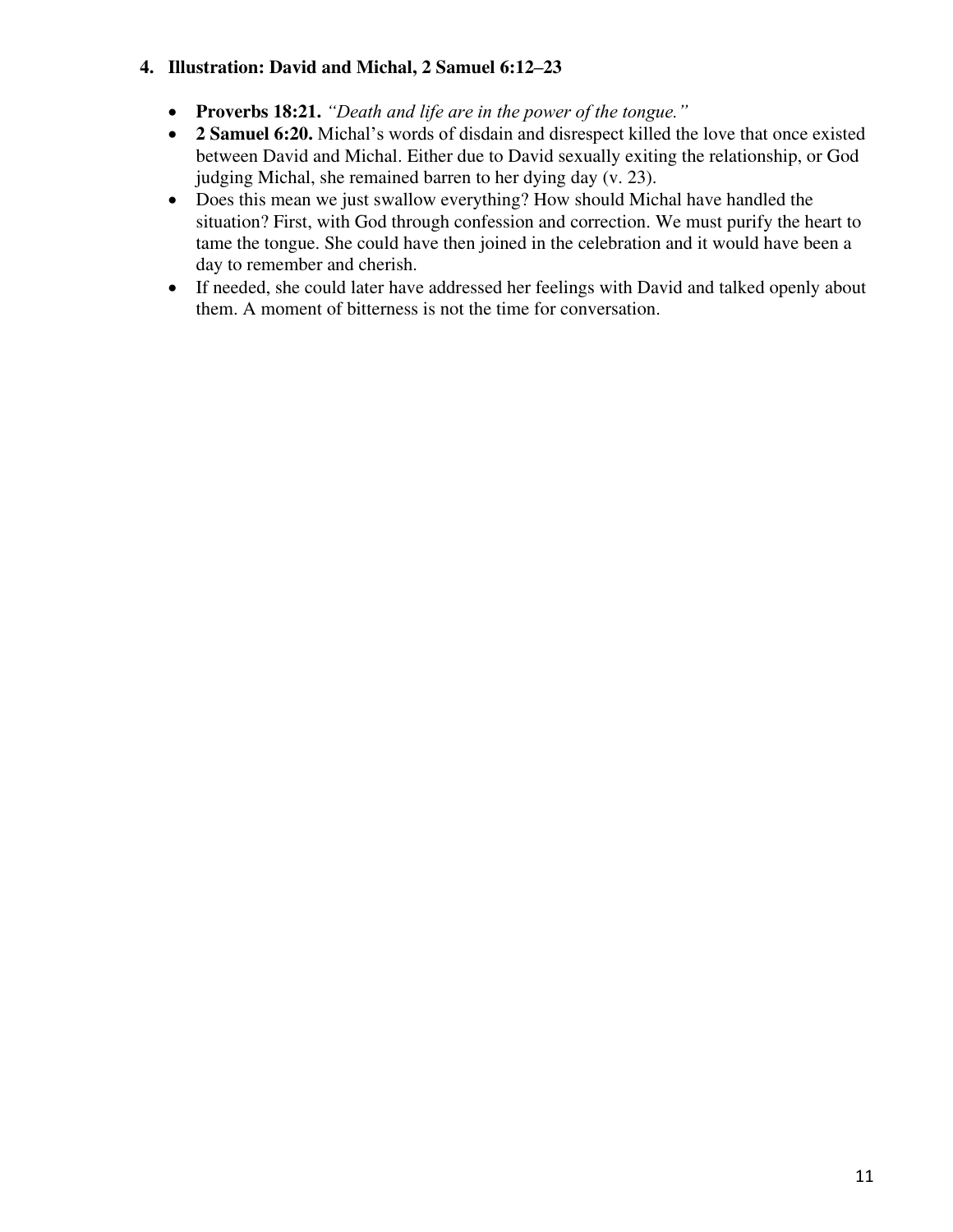## **4. Illustration: David and Michal, 2 Samuel 6:12–23**

- **Proverbs 18:21.** *"Death and life are in the power of the tongue."*
- **2 Samuel 6:20.** Michal's words of disdain and disrespect killed the love that once existed between David and Michal. Either due to David sexually exiting the relationship, or God judging Michal, she remained barren to her dying day (v. 23).
- Does this mean we just swallow everything? How should Michal have handled the situation? First, with God through confession and correction. We must purify the heart to tame the tongue. She could have then joined in the celebration and it would have been a day to remember and cherish.
- If needed, she could later have addressed her feelings with David and talked openly about them. A moment of bitterness is not the time for conversation.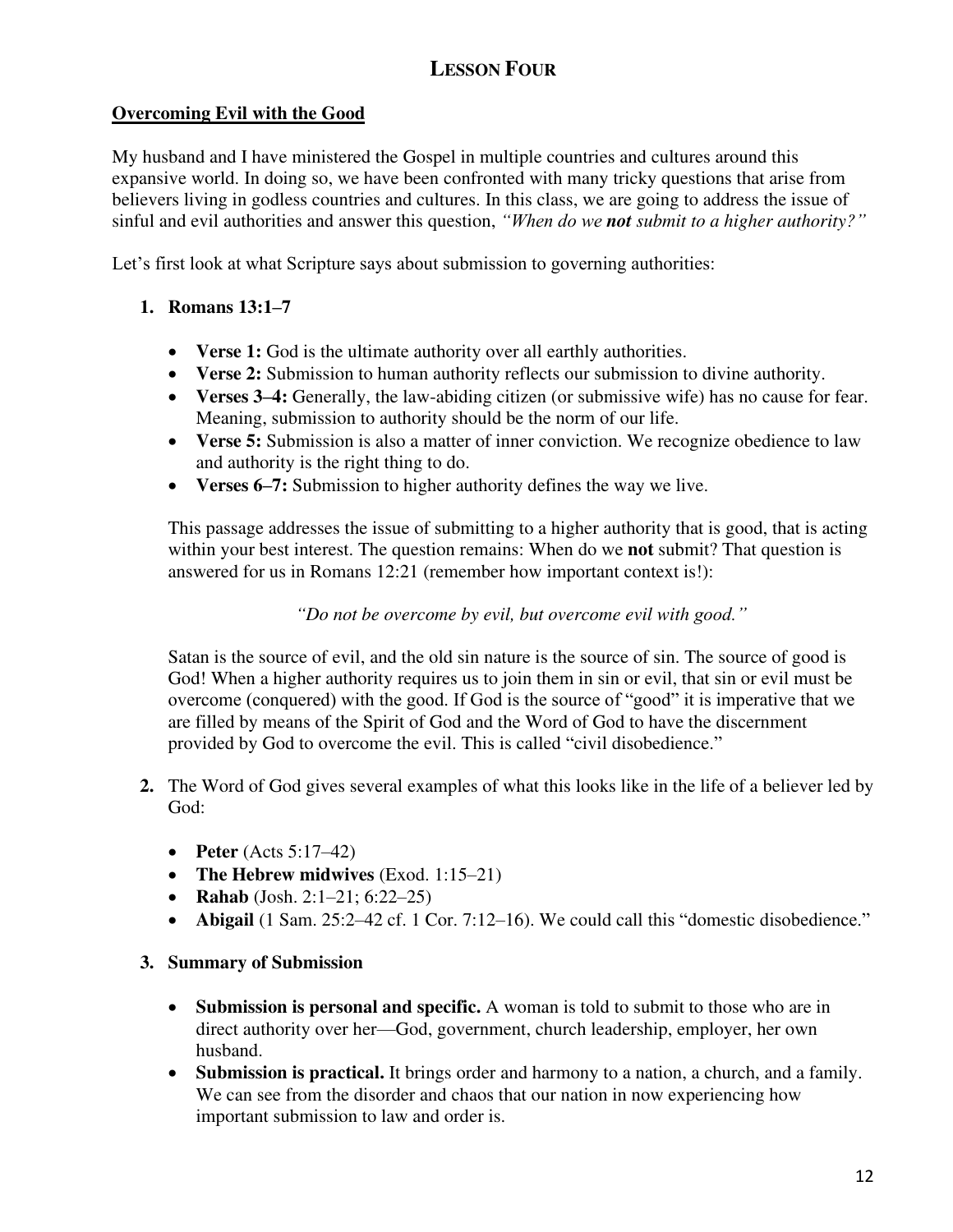## **Overcoming Evil with the Good**

My husband and I have ministered the Gospel in multiple countries and cultures around this expansive world. In doing so, we have been confronted with many tricky questions that arise from believers living in godless countries and cultures. In this class, we are going to address the issue of sinful and evil authorities and answer this question, *"When do we not submit to a higher authority?"*

Let's first look at what Scripture says about submission to governing authorities:

## **1. Romans 13:1–7**

- **Verse 1:** God is the ultimate authority over all earthly authorities.
- **Verse 2:** Submission to human authority reflects our submission to divine authority.
- **Verses 3–4:** Generally, the law-abiding citizen (or submissive wife) has no cause for fear. Meaning, submission to authority should be the norm of our life.
- **Verse 5:** Submission is also a matter of inner conviction. We recognize obedience to law and authority is the right thing to do.
- **Verses 6–7:** Submission to higher authority defines the way we live.

This passage addresses the issue of submitting to a higher authority that is good, that is acting within your best interest. The question remains: When do we **not** submit? That question is answered for us in Romans 12:21 (remember how important context is!):

*"Do not be overcome by evil, but overcome evil with good."*

Satan is the source of evil, and the old sin nature is the source of sin. The source of good is God! When a higher authority requires us to join them in sin or evil, that sin or evil must be overcome (conquered) with the good. If God is the source of "good" it is imperative that we are filled by means of the Spirit of God and the Word of God to have the discernment provided by God to overcome the evil. This is called "civil disobedience."

- **2.** The Word of God gives several examples of what this looks like in the life of a believer led by God:
	- **Peter** (Acts 5:17–42)
	- **The Hebrew midwives** (Exod. 1:15–21)
	- **Rahab** (Josh. 2:1–21; 6:22–25)
	- **Abigail** (1 Sam. 25:2–42 cf. 1 Cor. 7:12–16). We could call this "domestic disobedience."

#### **3. Summary of Submission**

- **Submission is personal and specific.** A woman is told to submit to those who are in direct authority over her—God, government, church leadership, employer, her own husband.
- **Submission is practical.** It brings order and harmony to a nation, a church, and a family. We can see from the disorder and chaos that our nation in now experiencing how important submission to law and order is.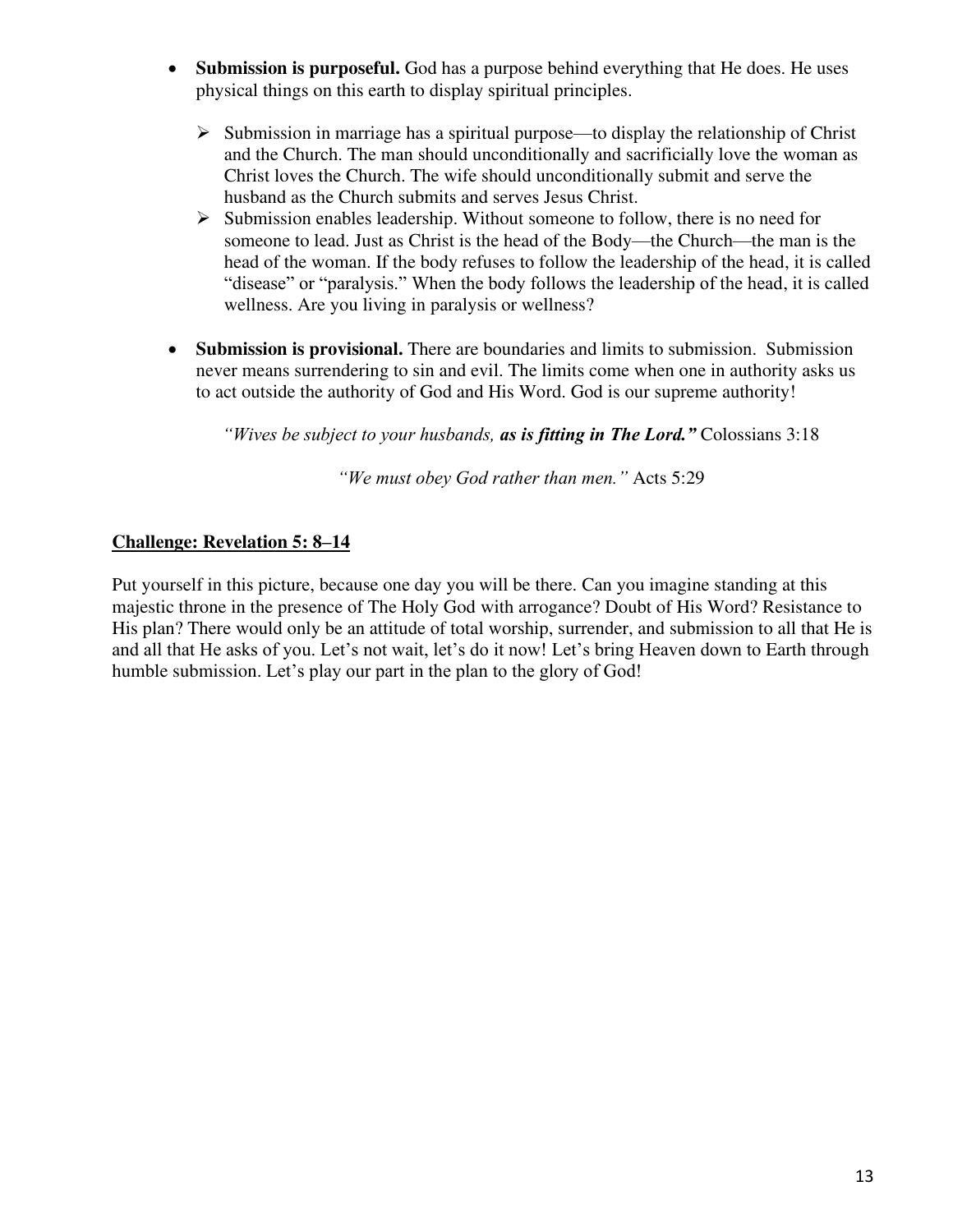- **Submission is purposeful.** God has a purpose behind everything that He does. He uses physical things on this earth to display spiritual principles.
	- $\triangleright$  Submission in marriage has a spiritual purpose—to display the relationship of Christ and the Church. The man should unconditionally and sacrificially love the woman as Christ loves the Church. The wife should unconditionally submit and serve the husband as the Church submits and serves Jesus Christ.
	- $\triangleright$  Submission enables leadership. Without someone to follow, there is no need for someone to lead. Just as Christ is the head of the Body—the Church—the man is the head of the woman. If the body refuses to follow the leadership of the head, it is called "disease" or "paralysis." When the body follows the leadership of the head, it is called wellness. Are you living in paralysis or wellness?
- **Submission is provisional.** There are boundaries and limits to submission. Submission never means surrendering to sin and evil. The limits come when one in authority asks us to act outside the authority of God and His Word. God is our supreme authority!

*"Wives be subject to your husbands, as is fitting in The Lord."* Colossians 3:18

*"We must obey God rather than men."* Acts 5:29

#### **Challenge: Revelation 5: 8–14**

Put yourself in this picture, because one day you will be there. Can you imagine standing at this majestic throne in the presence of The Holy God with arrogance? Doubt of His Word? Resistance to His plan? There would only be an attitude of total worship, surrender, and submission to all that He is and all that He asks of you. Let's not wait, let's do it now! Let's bring Heaven down to Earth through humble submission. Let's play our part in the plan to the glory of God!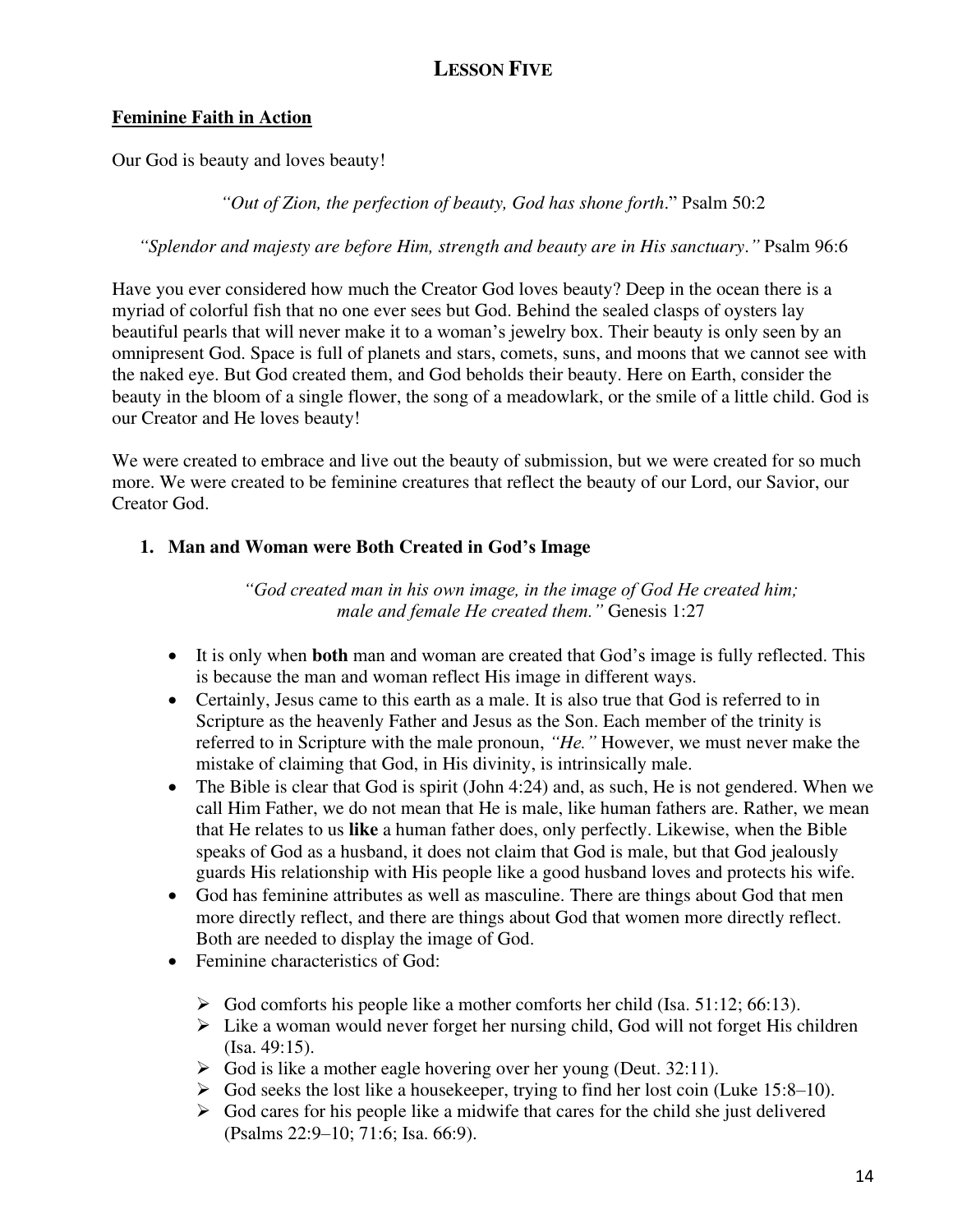# **LESSON FIVE**

#### **Feminine Faith in Action**

Our God is beauty and loves beauty!

*"Out of Zion, the perfection of beauty, God has shone forth*." Psalm 50:2

*"Splendor and majesty are before Him, strength and beauty are in His sanctuary*.*"* Psalm 96:6

Have you ever considered how much the Creator God loves beauty? Deep in the ocean there is a myriad of colorful fish that no one ever sees but God. Behind the sealed clasps of oysters lay beautiful pearls that will never make it to a woman's jewelry box. Their beauty is only seen by an omnipresent God. Space is full of planets and stars, comets, suns, and moons that we cannot see with the naked eye. But God created them, and God beholds their beauty. Here on Earth, consider the beauty in the bloom of a single flower, the song of a meadowlark, or the smile of a little child. God is our Creator and He loves beauty!

We were created to embrace and live out the beauty of submission, but we were created for so much more. We were created to be feminine creatures that reflect the beauty of our Lord, our Savior, our Creator God.

#### **1. Man and Woman were Both Created in God's Image**

*"God created man in his own image, in the image of God He created him; male and female He created them."* Genesis 1:27

- It is only when **both** man and woman are created that God's image is fully reflected. This is because the man and woman reflect His image in different ways.
- Certainly, Jesus came to this earth as a male. It is also true that God is referred to in Scripture as the heavenly Father and Jesus as the Son. Each member of the trinity is referred to in Scripture with the male pronoun, *"He."* However, we must never make the mistake of claiming that God, in His divinity, is intrinsically male.
- The Bible is clear that God is spirit (John 4:24) and, as such, He is not gendered. When we call Him Father, we do not mean that He is male, like human fathers are. Rather, we mean that He relates to us **like** a human father does, only perfectly. Likewise, when the Bible speaks of God as a husband, it does not claim that God is male, but that God jealously guards His relationship with His people like a good husband loves and protects his wife.
- God has feminine attributes as well as masculine. There are things about God that men more directly reflect, and there are things about God that women more directly reflect. Both are needed to display the image of God.
- Feminine characteristics of God:
	- $\triangleright$  God comforts his people like a mother comforts her child (Isa. 51:12; 66:13).
	- ➢ Like a woman would never forget her nursing child, God will not forget His children (Isa. 49:15).
	- $\triangleright$  God is like a mother eagle hovering over her young (Deut. 32:11).
	- $\triangleright$  God seeks the lost like a housekeeper, trying to find her lost coin (Luke 15:8–10).
	- $\triangleright$  God cares for his people like a midwife that cares for the child she just delivered (Psalms 22:9–10; 71:6; Isa. 66:9).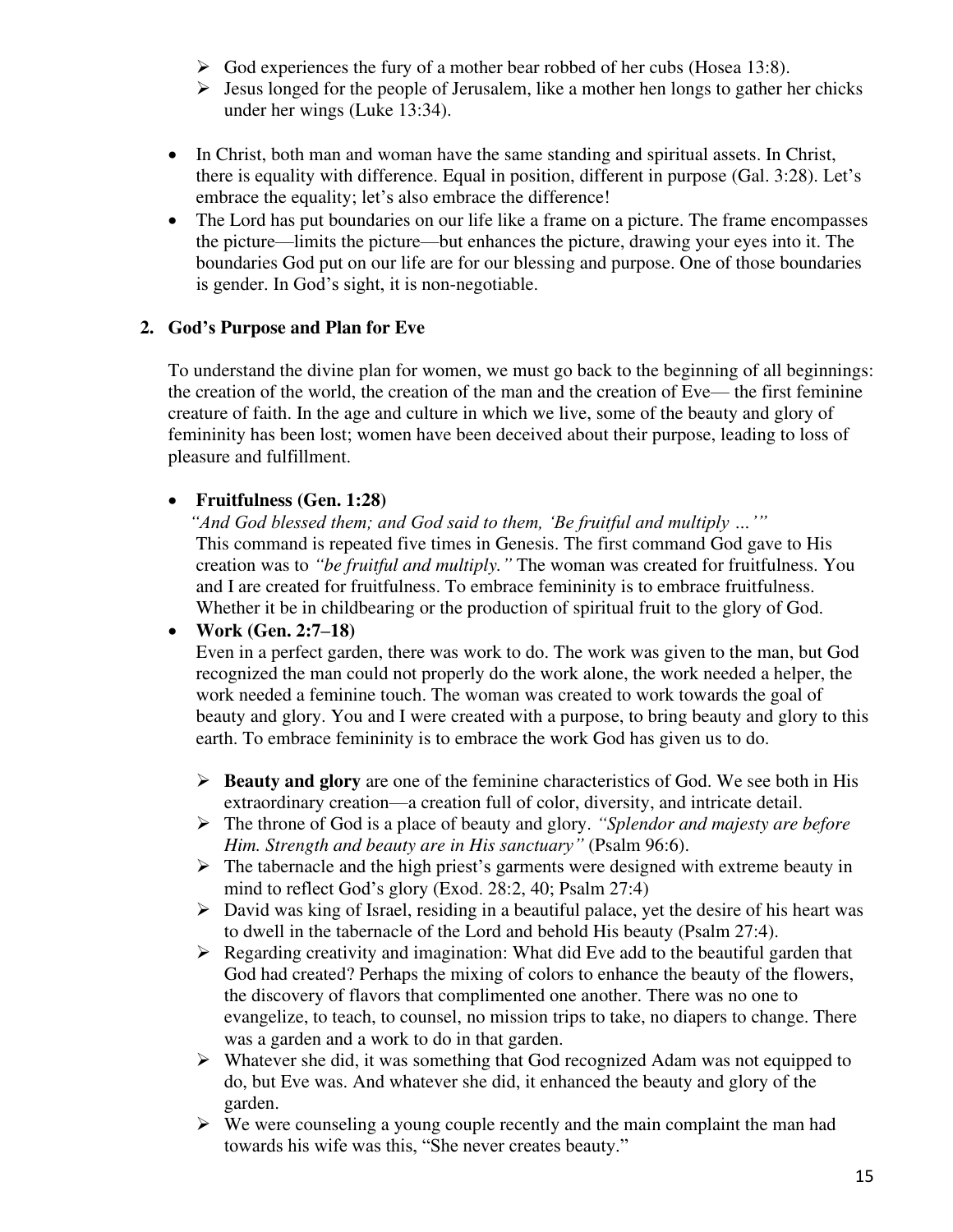- $\triangleright$  God experiences the fury of a mother bear robbed of her cubs (Hosea 13:8).
- $\triangleright$  Jesus longed for the people of Jerusalem, like a mother hen longs to gather her chicks under her wings (Luke 13:34).
- In Christ, both man and woman have the same standing and spiritual assets. In Christ, there is equality with difference. Equal in position, different in purpose (Gal. 3:28). Let's embrace the equality; let's also embrace the difference!
- The Lord has put boundaries on our life like a frame on a picture. The frame encompasses the picture—limits the picture—but enhances the picture, drawing your eyes into it. The boundaries God put on our life are for our blessing and purpose. One of those boundaries is gender. In God's sight, it is non-negotiable.

## **2. God's Purpose and Plan for Eve**

To understand the divine plan for women, we must go back to the beginning of all beginnings: the creation of the world, the creation of the man and the creation of Eve— the first feminine creature of faith. In the age and culture in which we live, some of the beauty and glory of femininity has been lost; women have been deceived about their purpose, leading to loss of pleasure and fulfillment.

## • **Fruitfulness (Gen. 1:28)**

*"And God blessed them; and God said to them, 'Be fruitful and multiply …'"* This command is repeated five times in Genesis. The first command God gave to His creation was to *"be fruitful and multiply."* The woman was created for fruitfulness. You and I are created for fruitfulness. To embrace femininity is to embrace fruitfulness. Whether it be in childbearing or the production of spiritual fruit to the glory of God.

## • **Work (Gen. 2:7–18)**

Even in a perfect garden, there was work to do. The work was given to the man, but God recognized the man could not properly do the work alone, the work needed a helper, the work needed a feminine touch. The woman was created to work towards the goal of beauty and glory. You and I were created with a purpose, to bring beauty and glory to this earth. To embrace femininity is to embrace the work God has given us to do.

- ➢ **Beauty and glory** are one of the feminine characteristics of God. We see both in His extraordinary creation—a creation full of color, diversity, and intricate detail.
- ➢ The throne of God is a place of beauty and glory. *"Splendor and majesty are before Him. Strength and beauty are in His sanctuary"* (Psalm 96:6).
- $\triangleright$  The tabernacle and the high priest's garments were designed with extreme beauty in mind to reflect God's glory (Exod. 28:2, 40; Psalm 27:4)
- ➢ David was king of Israel, residing in a beautiful palace, yet the desire of his heart was to dwell in the tabernacle of the Lord and behold His beauty (Psalm 27:4).
- $\triangleright$  Regarding creativity and imagination: What did Eve add to the beautiful garden that God had created? Perhaps the mixing of colors to enhance the beauty of the flowers, the discovery of flavors that complimented one another. There was no one to evangelize, to teach, to counsel, no mission trips to take, no diapers to change. There was a garden and a work to do in that garden.
- ➢ Whatever she did, it was something that God recognized Adam was not equipped to do, but Eve was. And whatever she did, it enhanced the beauty and glory of the garden.
- $\triangleright$  We were counseling a young couple recently and the main complaint the man had towards his wife was this, "She never creates beauty."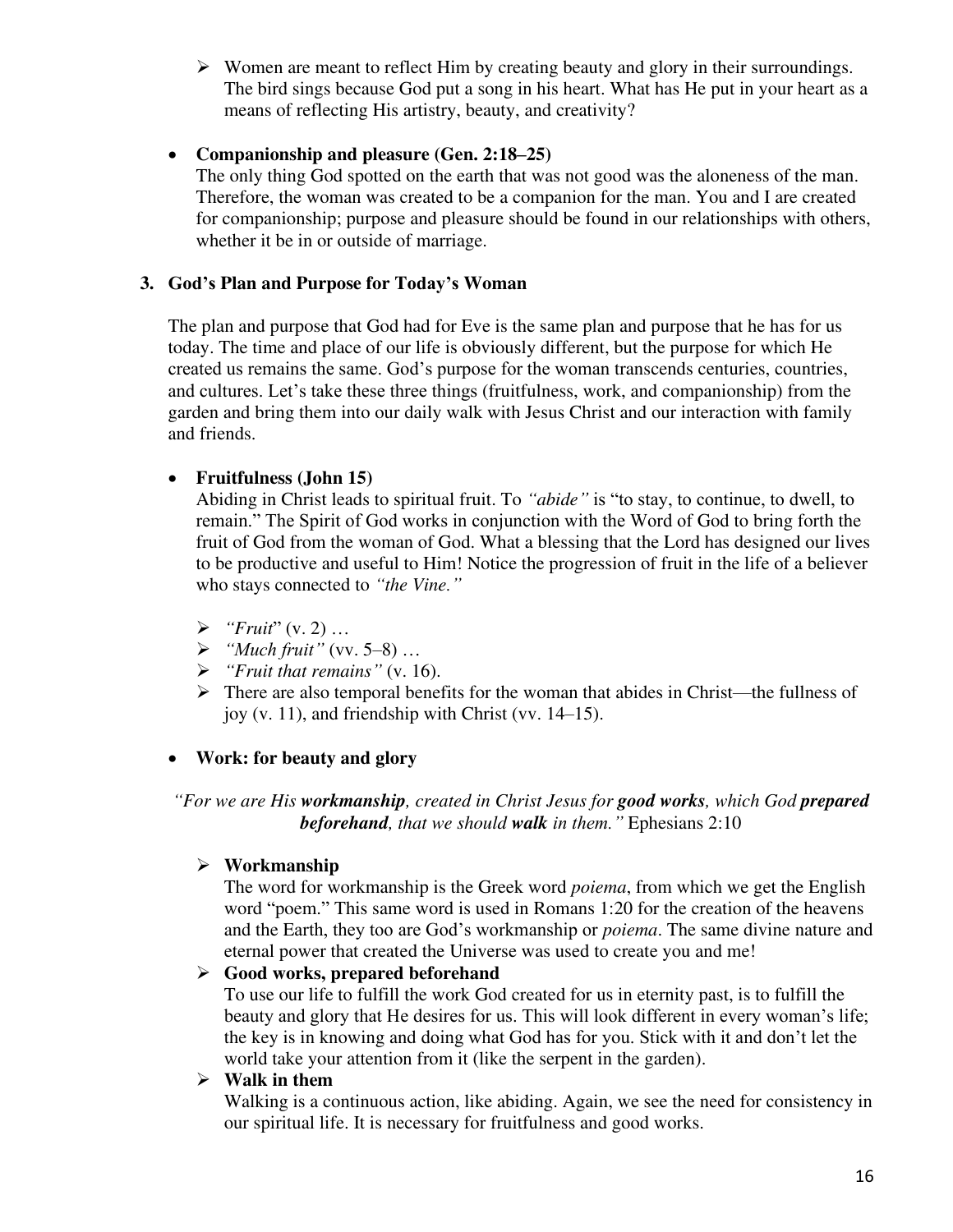➢ Women are meant to reflect Him by creating beauty and glory in their surroundings. The bird sings because God put a song in his heart. What has He put in your heart as a means of reflecting His artistry, beauty, and creativity?

#### • **Companionship and pleasure (Gen. 2:18–25)**

The only thing God spotted on the earth that was not good was the aloneness of the man. Therefore, the woman was created to be a companion for the man. You and I are created for companionship; purpose and pleasure should be found in our relationships with others, whether it be in or outside of marriage.

#### **3. God's Plan and Purpose for Today's Woman**

The plan and purpose that God had for Eve is the same plan and purpose that he has for us today. The time and place of our life is obviously different, but the purpose for which He created us remains the same. God's purpose for the woman transcends centuries, countries, and cultures. Let's take these three things (fruitfulness, work, and companionship) from the garden and bring them into our daily walk with Jesus Christ and our interaction with family and friends.

#### • **Fruitfulness (John 15)**

Abiding in Christ leads to spiritual fruit. To *"abide"* is "to stay, to continue, to dwell, to remain." The Spirit of God works in conjunction with the Word of God to bring forth the fruit of God from the woman of God. What a blessing that the Lord has designed our lives to be productive and useful to Him! Notice the progression of fruit in the life of a believer who stays connected to *"the Vine."*

- ➢ *"Fruit*" (v. 2) …
- ➢ *"Much fruit"* (vv. 5–8) …
- ➢ *"Fruit that remains"* (v. 16).
- $\triangleright$  There are also temporal benefits for the woman that abides in Christ—the fullness of joy (v. 11), and friendship with Christ (vv. 14–15).

#### • **Work: for beauty and glory**

*"For we are His workmanship, created in Christ Jesus for good works, which God prepared beforehand, that we should walk in them."* Ephesians 2:10

#### ➢ **Workmanship**

The word for workmanship is the Greek word *poiema*, from which we get the English word "poem." This same word is used in Romans 1:20 for the creation of the heavens and the Earth, they too are God's workmanship or *poiema*. The same divine nature and eternal power that created the Universe was used to create you and me!

#### ➢ **Good works, prepared beforehand**

To use our life to fulfill the work God created for us in eternity past, is to fulfill the beauty and glory that He desires for us. This will look different in every woman's life; the key is in knowing and doing what God has for you. Stick with it and don't let the world take your attention from it (like the serpent in the garden).

#### ➢ **Walk in them**

Walking is a continuous action, like abiding. Again, we see the need for consistency in our spiritual life. It is necessary for fruitfulness and good works.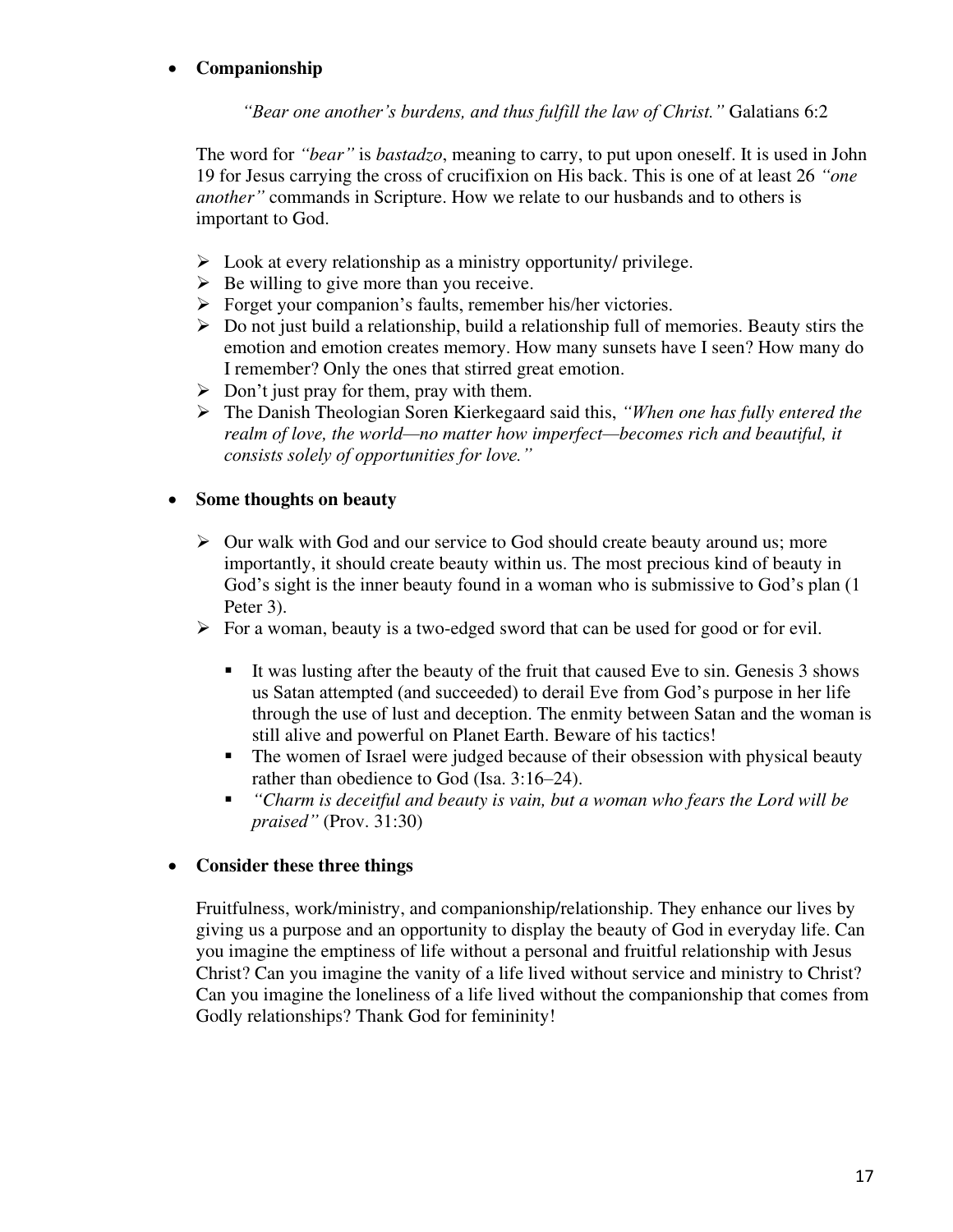## • **Companionship**

*"Bear one another's burdens, and thus fulfill the law of Christ."* Galatians 6:2

The word for *"bear"* is *bastadzo*, meaning to carry, to put upon oneself. It is used in John 19 for Jesus carrying the cross of crucifixion on His back. This is one of at least 26 *"one another"* commands in Scripture. How we relate to our husbands and to others is important to God.

- $\triangleright$  Look at every relationship as a ministry opportunity/ privilege.
- $\triangleright$  Be willing to give more than you receive.
- ➢ Forget your companion's faults, remember his/her victories.
- ➢ Do not just build a relationship, build a relationship full of memories. Beauty stirs the emotion and emotion creates memory. How many sunsets have I seen? How many do I remember? Only the ones that stirred great emotion.
- $\triangleright$  Don't just pray for them, pray with them.
- ➢ The Danish Theologian Soren Kierkegaard said this, *"When one has fully entered the realm of love, the world—no matter how imperfect—becomes rich and beautiful, it consists solely of opportunities for love."*

#### • **Some thoughts on beauty**

- $\triangleright$  Our walk with God and our service to God should create beauty around us; more importantly, it should create beauty within us. The most precious kind of beauty in God's sight is the inner beauty found in a woman who is submissive to God's plan (1 Peter 3).
- $\triangleright$  For a woman, beauty is a two-edged sword that can be used for good or for evil.
	- It was lusting after the beauty of the fruit that caused Eve to sin. Genesis 3 shows us Satan attempted (and succeeded) to derail Eve from God's purpose in her life through the use of lust and deception. The enmity between Satan and the woman is still alive and powerful on Planet Earth. Beware of his tactics!
	- The women of Israel were judged because of their obsession with physical beauty rather than obedience to God (Isa. 3:16–24).
	- *"Charm is deceitful and beauty is vain, but a woman who fears the Lord will be praised"* (Prov. 31:30)

#### • **Consider these three things**

Fruitfulness, work/ministry, and companionship/relationship. They enhance our lives by giving us a purpose and an opportunity to display the beauty of God in everyday life. Can you imagine the emptiness of life without a personal and fruitful relationship with Jesus Christ? Can you imagine the vanity of a life lived without service and ministry to Christ? Can you imagine the loneliness of a life lived without the companionship that comes from Godly relationships? Thank God for femininity!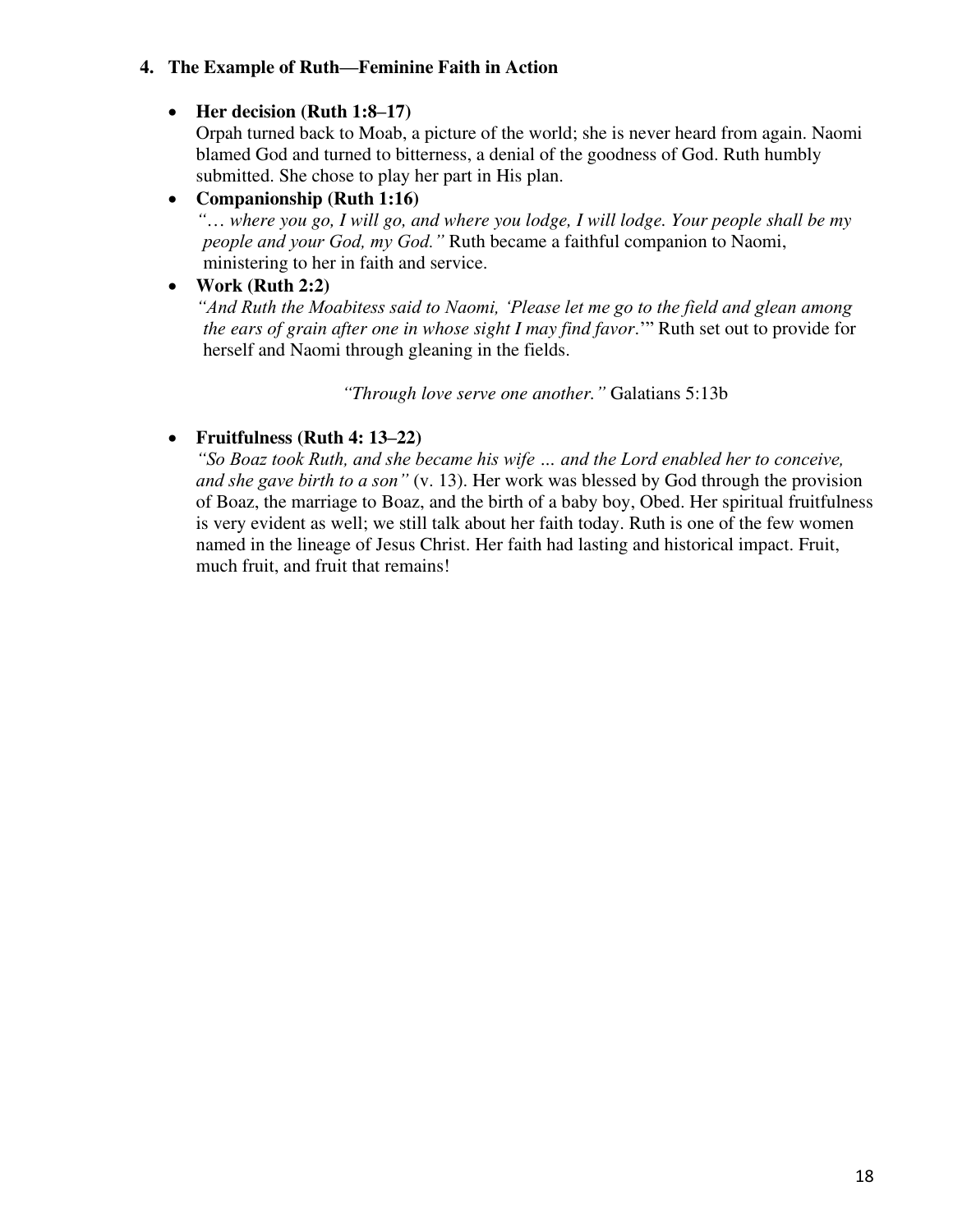#### **4. The Example of Ruth—Feminine Faith in Action**

## • **Her decision (Ruth 1:8–17)**

Orpah turned back to Moab, a picture of the world; she is never heard from again. Naomi blamed God and turned to bitterness, a denial of the goodness of God. Ruth humbly submitted. She chose to play her part in His plan.

#### • **Companionship (Ruth 1:16)**

*"*… *where you go, I will go, and where you lodge, I will lodge. Your people shall be my people and your God, my God."* Ruth became a faithful companion to Naomi, ministering to her in faith and service.

## • **Work (Ruth 2:2)**

*"And Ruth the Moabitess said to Naomi, 'Please let me go to the field and glean among the ears of grain after one in whose sight I may find favor*.'" Ruth set out to provide for herself and Naomi through gleaning in the fields.

*"Through love serve one another."* Galatians 5:13b

## • **Fruitfulness (Ruth 4: 13–22)**

*"So Boaz took Ruth, and she became his wife … and the Lord enabled her to conceive, and she gave birth to a son"* (v. 13). Her work was blessed by God through the provision of Boaz, the marriage to Boaz, and the birth of a baby boy, Obed. Her spiritual fruitfulness is very evident as well; we still talk about her faith today. Ruth is one of the few women named in the lineage of Jesus Christ. Her faith had lasting and historical impact. Fruit, much fruit, and fruit that remains!